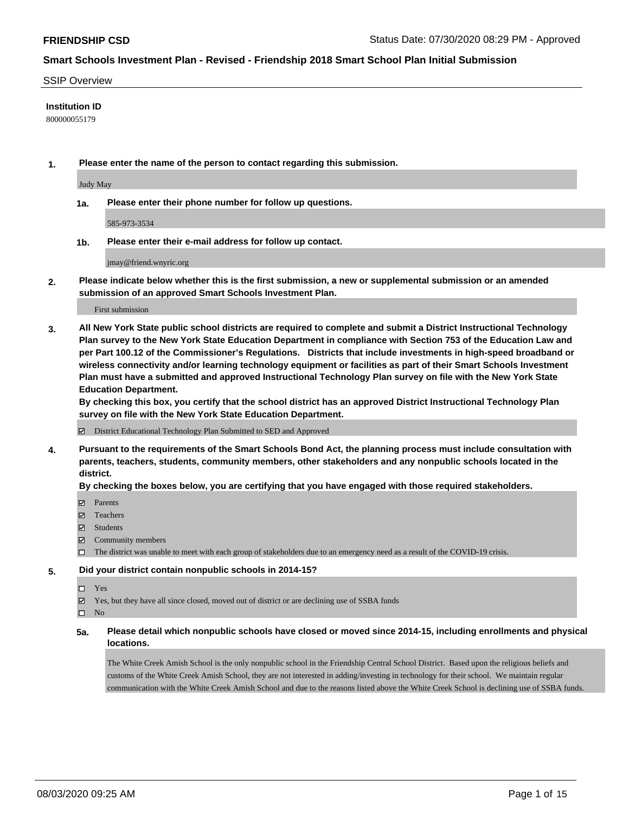#### SSIP Overview

#### **Institution ID**

800000055179

**1. Please enter the name of the person to contact regarding this submission.**

Judy May

**1a. Please enter their phone number for follow up questions.**

585-973-3534

**1b. Please enter their e-mail address for follow up contact.**

jmay@friend.wnyric.org

**2. Please indicate below whether this is the first submission, a new or supplemental submission or an amended submission of an approved Smart Schools Investment Plan.**

#### First submission

**3. All New York State public school districts are required to complete and submit a District Instructional Technology Plan survey to the New York State Education Department in compliance with Section 753 of the Education Law and per Part 100.12 of the Commissioner's Regulations. Districts that include investments in high-speed broadband or wireless connectivity and/or learning technology equipment or facilities as part of their Smart Schools Investment Plan must have a submitted and approved Instructional Technology Plan survey on file with the New York State Education Department.** 

**By checking this box, you certify that the school district has an approved District Instructional Technology Plan survey on file with the New York State Education Department.**

District Educational Technology Plan Submitted to SED and Approved

**4. Pursuant to the requirements of the Smart Schools Bond Act, the planning process must include consultation with parents, teachers, students, community members, other stakeholders and any nonpublic schools located in the district.** 

#### **By checking the boxes below, you are certifying that you have engaged with those required stakeholders.**

- **Ø** Parents
- Teachers
- Students
- $\boxtimes$  Community members
- The district was unable to meet with each group of stakeholders due to an emergency need as a result of the COVID-19 crisis.

### **5. Did your district contain nonpublic schools in 2014-15?**

- $\neg$  Yes
- Yes, but they have all since closed, moved out of district or are declining use of SSBA funds

 $\square$  No

**5a. Please detail which nonpublic schools have closed or moved since 2014-15, including enrollments and physical locations.**

The White Creek Amish School is the only nonpublic school in the Friendship Central School District. Based upon the religious beliefs and customs of the White Creek Amish School, they are not interested in adding/investing in technology for their school. We maintain regular communication with the White Creek Amish School and due to the reasons listed above the White Creek School is declining use of SSBA funds.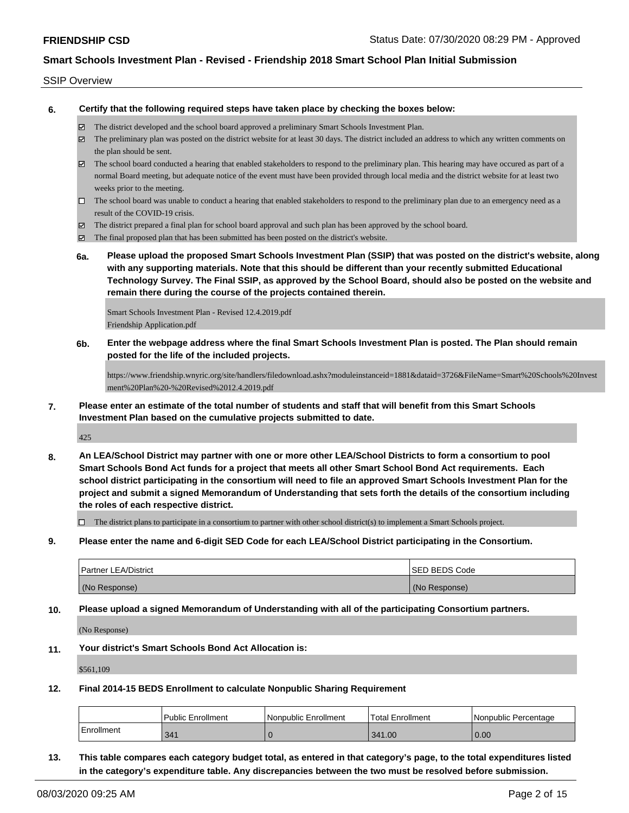#### SSIP Overview

**6. Certify that the following required steps have taken place by checking the boxes below:**

- The district developed and the school board approved a preliminary Smart Schools Investment Plan.
- $\boxtimes$  The preliminary plan was posted on the district website for at least 30 days. The district included an address to which any written comments on the plan should be sent.
- $\boxtimes$  The school board conducted a hearing that enabled stakeholders to respond to the preliminary plan. This hearing may have occured as part of a normal Board meeting, but adequate notice of the event must have been provided through local media and the district website for at least two weeks prior to the meeting.
- $\Box$  The school board was unable to conduct a hearing that enabled stakeholders to respond to the preliminary plan due to an emergency need as a result of the COVID-19 crisis.
- The district prepared a final plan for school board approval and such plan has been approved by the school board.
- $\boxtimes$  The final proposed plan that has been submitted has been posted on the district's website.
- **6a. Please upload the proposed Smart Schools Investment Plan (SSIP) that was posted on the district's website, along with any supporting materials. Note that this should be different than your recently submitted Educational Technology Survey. The Final SSIP, as approved by the School Board, should also be posted on the website and remain there during the course of the projects contained therein.**

Smart Schools Investment Plan - Revised 12.4.2019.pdf Friendship Application.pdf

**6b. Enter the webpage address where the final Smart Schools Investment Plan is posted. The Plan should remain posted for the life of the included projects.**

https://www.friendship.wnyric.org/site/handlers/filedownload.ashx?moduleinstanceid=1881&dataid=3726&FileName=Smart%20Schools%20Invest ment%20Plan%20-%20Revised%2012.4.2019.pdf

**7. Please enter an estimate of the total number of students and staff that will benefit from this Smart Schools Investment Plan based on the cumulative projects submitted to date.**

425

**8. An LEA/School District may partner with one or more other LEA/School Districts to form a consortium to pool Smart Schools Bond Act funds for a project that meets all other Smart School Bond Act requirements. Each school district participating in the consortium will need to file an approved Smart Schools Investment Plan for the project and submit a signed Memorandum of Understanding that sets forth the details of the consortium including the roles of each respective district.**

 $\Box$  The district plans to participate in a consortium to partner with other school district(s) to implement a Smart Schools project.

**9. Please enter the name and 6-digit SED Code for each LEA/School District participating in the Consortium.**

| <b>Partner LEA/District</b> | <b>ISED BEDS Code</b> |
|-----------------------------|-----------------------|
| (No Response)               | (No Response)         |

**10. Please upload a signed Memorandum of Understanding with all of the participating Consortium partners.**

(No Response)

**11. Your district's Smart Schools Bond Act Allocation is:**

\$561,109

**12. Final 2014-15 BEDS Enrollment to calculate Nonpublic Sharing Requirement**

|            | <b>Public Enrollment</b> | l Nonpublic Enrollment | Total Enrollment | l Nonpublic Percentage |
|------------|--------------------------|------------------------|------------------|------------------------|
| Enrollment | 341                      |                        | 341.00           | 0.00                   |

**13. This table compares each category budget total, as entered in that category's page, to the total expenditures listed in the category's expenditure table. Any discrepancies between the two must be resolved before submission.**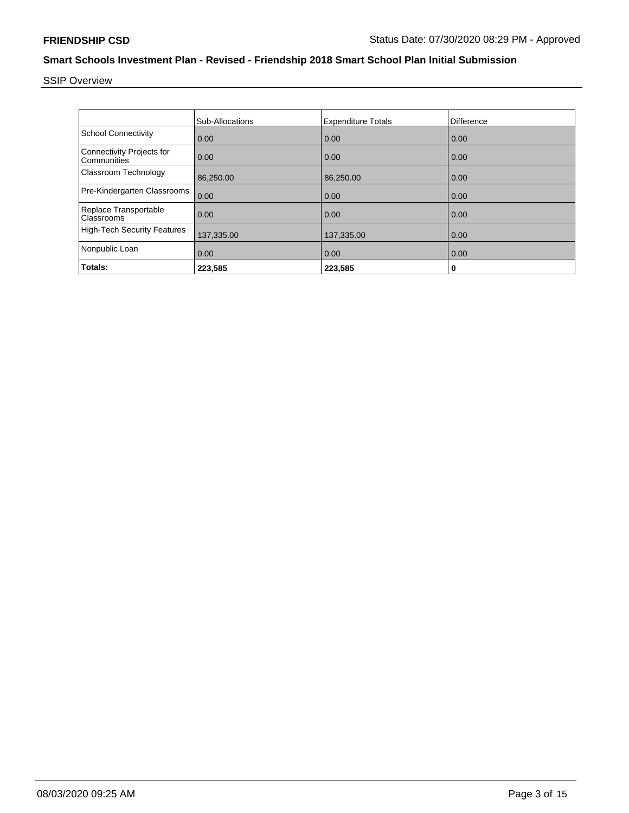SSIP Overview

|                                                 | Sub-Allocations | <b>Expenditure Totals</b> | <b>Difference</b> |
|-------------------------------------------------|-----------------|---------------------------|-------------------|
| <b>School Connectivity</b>                      | 0.00            | 0.00                      | 0.00              |
| <b>Connectivity Projects for</b><br>Communities | 0.00            | 0.00                      | 0.00              |
| Classroom Technology                            | 86,250.00       | 86,250.00                 | 0.00              |
| Pre-Kindergarten Classrooms                     | 0.00            | 0.00                      | 0.00              |
| Replace Transportable<br>Classrooms             | 0.00            | 0.00                      | 0.00              |
| <b>High-Tech Security Features</b>              | 137,335.00      | 137,335.00                | 0.00              |
| Nonpublic Loan                                  | 0.00            | 0.00                      | 0.00              |
| Totals:                                         | 223,585         | 223,585                   | 0                 |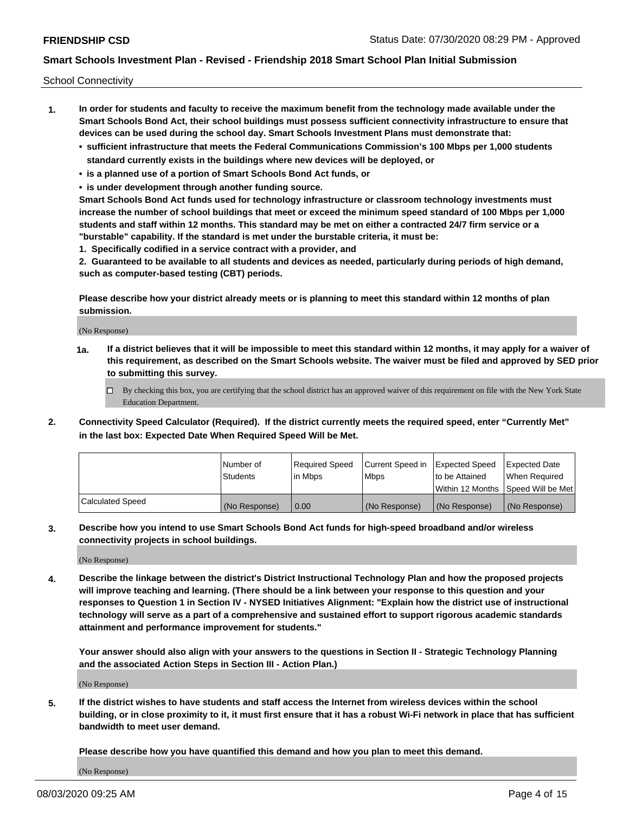School Connectivity

- **1. In order for students and faculty to receive the maximum benefit from the technology made available under the Smart Schools Bond Act, their school buildings must possess sufficient connectivity infrastructure to ensure that devices can be used during the school day. Smart Schools Investment Plans must demonstrate that:**
	- **• sufficient infrastructure that meets the Federal Communications Commission's 100 Mbps per 1,000 students standard currently exists in the buildings where new devices will be deployed, or**
	- **• is a planned use of a portion of Smart Schools Bond Act funds, or**
	- **• is under development through another funding source.**

**Smart Schools Bond Act funds used for technology infrastructure or classroom technology investments must increase the number of school buildings that meet or exceed the minimum speed standard of 100 Mbps per 1,000 students and staff within 12 months. This standard may be met on either a contracted 24/7 firm service or a "burstable" capability. If the standard is met under the burstable criteria, it must be:**

**1. Specifically codified in a service contract with a provider, and**

**2. Guaranteed to be available to all students and devices as needed, particularly during periods of high demand, such as computer-based testing (CBT) periods.**

**Please describe how your district already meets or is planning to meet this standard within 12 months of plan submission.**

(No Response)

**1a. If a district believes that it will be impossible to meet this standard within 12 months, it may apply for a waiver of this requirement, as described on the Smart Schools website. The waiver must be filed and approved by SED prior to submitting this survey.**

 $\Box$  By checking this box, you are certifying that the school district has an approved waiver of this requirement on file with the New York State Education Department.

**2. Connectivity Speed Calculator (Required). If the district currently meets the required speed, enter "Currently Met" in the last box: Expected Date When Required Speed Will be Met.**

|                  | l Number of     | Reauired Speed | Current Speed in | Expected Speed | Expected Date                       |
|------------------|-----------------|----------------|------------------|----------------|-------------------------------------|
|                  | <b>Students</b> | l in Mbps      | l Mbps           | to be Attained | When Required                       |
|                  |                 |                |                  |                | Within 12 Months ISpeed Will be Met |
| Calculated Speed | (No Response)   | 0.00           | (No Response)    | (No Response)  | (No Response)                       |

**3. Describe how you intend to use Smart Schools Bond Act funds for high-speed broadband and/or wireless connectivity projects in school buildings.**

(No Response)

**4. Describe the linkage between the district's District Instructional Technology Plan and how the proposed projects will improve teaching and learning. (There should be a link between your response to this question and your responses to Question 1 in Section IV - NYSED Initiatives Alignment: "Explain how the district use of instructional technology will serve as a part of a comprehensive and sustained effort to support rigorous academic standards attainment and performance improvement for students."** 

**Your answer should also align with your answers to the questions in Section II - Strategic Technology Planning and the associated Action Steps in Section III - Action Plan.)**

(No Response)

**5. If the district wishes to have students and staff access the Internet from wireless devices within the school building, or in close proximity to it, it must first ensure that it has a robust Wi-Fi network in place that has sufficient bandwidth to meet user demand.**

**Please describe how you have quantified this demand and how you plan to meet this demand.**

(No Response)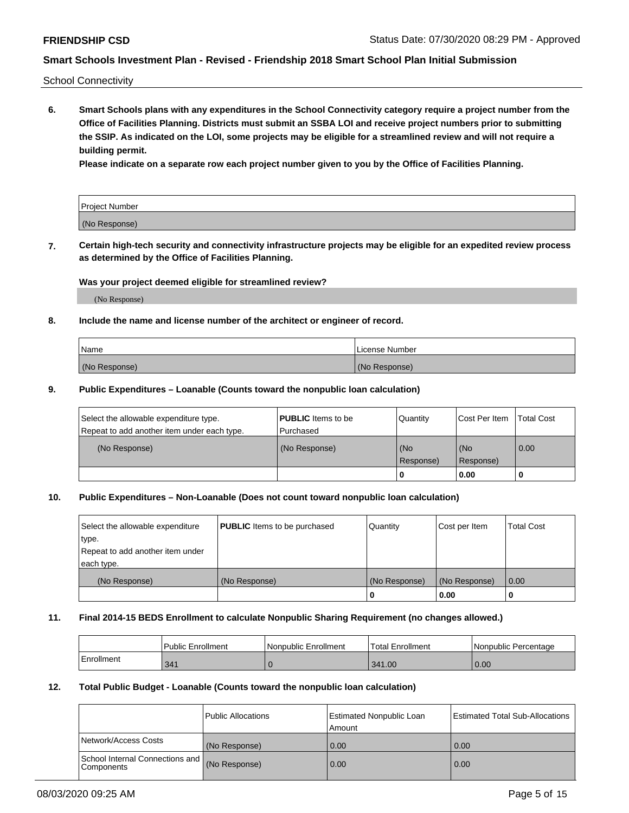School Connectivity

**6. Smart Schools plans with any expenditures in the School Connectivity category require a project number from the Office of Facilities Planning. Districts must submit an SSBA LOI and receive project numbers prior to submitting the SSIP. As indicated on the LOI, some projects may be eligible for a streamlined review and will not require a building permit.**

**Please indicate on a separate row each project number given to you by the Office of Facilities Planning.**

| Project Number |  |
|----------------|--|
| (No Response)  |  |

**7. Certain high-tech security and connectivity infrastructure projects may be eligible for an expedited review process as determined by the Office of Facilities Planning.**

### **Was your project deemed eligible for streamlined review?**

(No Response)

### **8. Include the name and license number of the architect or engineer of record.**

| Name          | License Number |
|---------------|----------------|
| (No Response) | (No Response)  |

#### **9. Public Expenditures – Loanable (Counts toward the nonpublic loan calculation)**

| Select the allowable expenditure type.<br>Repeat to add another item under each type. | <b>PUBLIC</b> Items to be<br>l Purchased | Quantity           | Cost Per Item    | <b>Total Cost</b> |
|---------------------------------------------------------------------------------------|------------------------------------------|--------------------|------------------|-------------------|
| (No Response)                                                                         | (No Response)                            | l (No<br>Response) | (No<br>Response) | $\overline{0.00}$ |
|                                                                                       |                                          | O                  | 0.00             |                   |

### **10. Public Expenditures – Non-Loanable (Does not count toward nonpublic loan calculation)**

| Select the allowable expenditure | <b>PUBLIC</b> Items to be purchased | Quantity      | Cost per Item | <b>Total Cost</b> |
|----------------------------------|-------------------------------------|---------------|---------------|-------------------|
| type.                            |                                     |               |               |                   |
| Repeat to add another item under |                                     |               |               |                   |
| each type.                       |                                     |               |               |                   |
| (No Response)                    | (No Response)                       | (No Response) | (No Response) | 0.00              |
|                                  |                                     |               | 0.00          |                   |

#### **11. Final 2014-15 BEDS Enrollment to calculate Nonpublic Sharing Requirement (no changes allowed.)**

|            | Public Enrollment | Nonpublic Enrollment | <b>Total Enrollment</b> | l Nonpublic Percentage |
|------------|-------------------|----------------------|-------------------------|------------------------|
| Enrollment | 341               |                      | 341.00                  | 0.00                   |

#### **12. Total Public Budget - Loanable (Counts toward the nonpublic loan calculation)**

|                                                      | Public Allocations | <b>Estimated Nonpublic Loan</b><br>Amount | Estimated Total Sub-Allocations |
|------------------------------------------------------|--------------------|-------------------------------------------|---------------------------------|
| Network/Access Costs                                 | (No Response)      | 0.00                                      | 0.00                            |
| School Internal Connections and<br><b>Components</b> | (No Response)      | 0.00                                      | 0.00                            |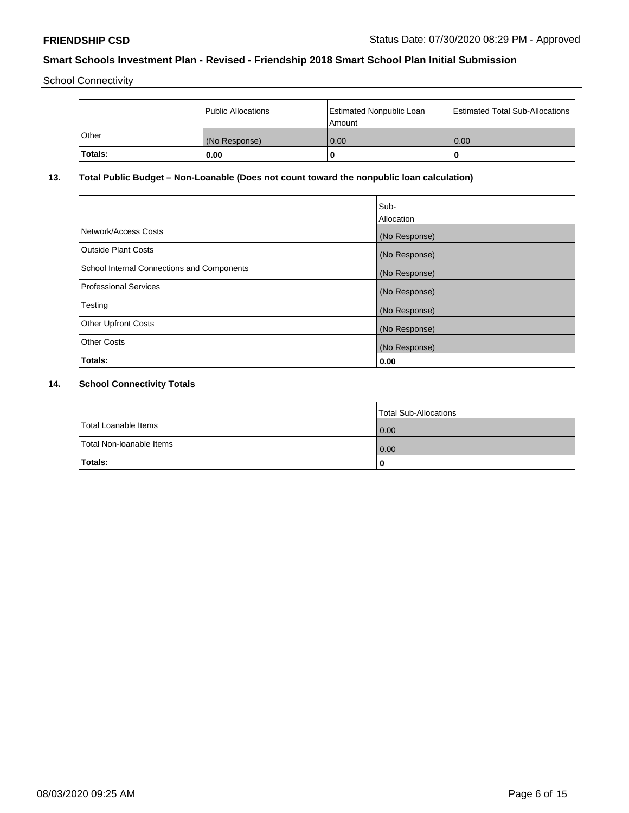School Connectivity

|         | Public Allocations | <b>Estimated Nonpublic Loan</b><br>l Amount | <b>Estimated Total Sub-Allocations</b> |
|---------|--------------------|---------------------------------------------|----------------------------------------|
| l Other | (No Response)      | 0.00                                        | 0.00                                   |
| Totals: | 0.00               | 0                                           |                                        |

# **13. Total Public Budget – Non-Loanable (Does not count toward the nonpublic loan calculation)**

|                                                   | Sub-<br>Allocation |
|---------------------------------------------------|--------------------|
| Network/Access Costs                              | (No Response)      |
| Outside Plant Costs                               | (No Response)      |
| <b>School Internal Connections and Components</b> | (No Response)      |
| Professional Services                             | (No Response)      |
| Testing                                           | (No Response)      |
| <b>Other Upfront Costs</b>                        | (No Response)      |
| <b>Other Costs</b>                                | (No Response)      |
| Totals:                                           | 0.00               |

# **14. School Connectivity Totals**

|                          | Total Sub-Allocations |
|--------------------------|-----------------------|
| Total Loanable Items     | 0.00                  |
| Total Non-Ioanable Items | 0.00                  |
| Totals:                  | 0                     |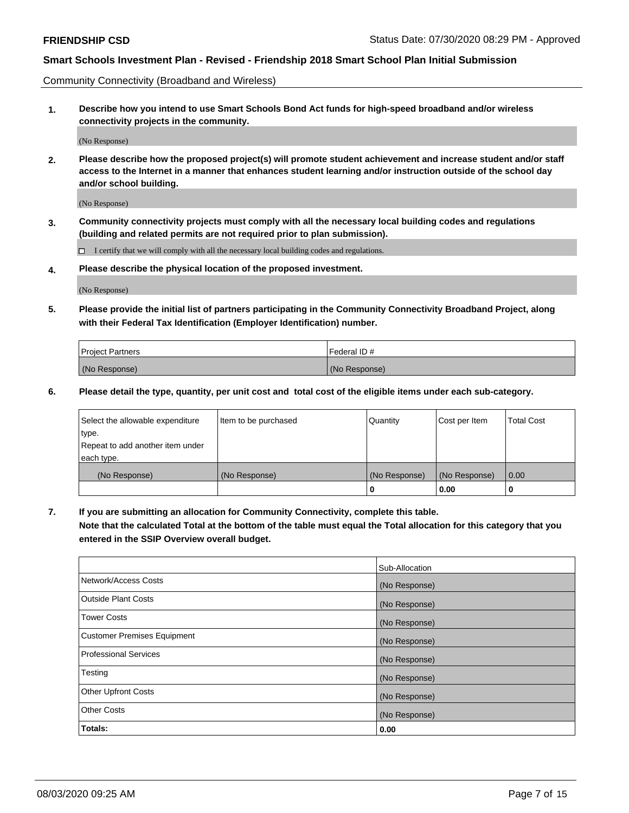Community Connectivity (Broadband and Wireless)

**1. Describe how you intend to use Smart Schools Bond Act funds for high-speed broadband and/or wireless connectivity projects in the community.**

(No Response)

**2. Please describe how the proposed project(s) will promote student achievement and increase student and/or staff access to the Internet in a manner that enhances student learning and/or instruction outside of the school day and/or school building.**

(No Response)

**3. Community connectivity projects must comply with all the necessary local building codes and regulations (building and related permits are not required prior to plan submission).**

 $\Box$  I certify that we will comply with all the necessary local building codes and regulations.

**4. Please describe the physical location of the proposed investment.**

(No Response)

**5. Please provide the initial list of partners participating in the Community Connectivity Broadband Project, along with their Federal Tax Identification (Employer Identification) number.**

| <b>Project Partners</b> | l Federal ID # |
|-------------------------|----------------|
| (No Response)           | (No Response)  |

**6. Please detail the type, quantity, per unit cost and total cost of the eligible items under each sub-category.**

| Select the allowable expenditure | Item to be purchased | Quantity      | Cost per Item | <b>Total Cost</b> |
|----------------------------------|----------------------|---------------|---------------|-------------------|
| type.                            |                      |               |               |                   |
| Repeat to add another item under |                      |               |               |                   |
| each type.                       |                      |               |               |                   |
| (No Response)                    | (No Response)        | (No Response) | (No Response) | 0.00              |
|                                  |                      | o             | 0.00          |                   |

**7. If you are submitting an allocation for Community Connectivity, complete this table.**

**Note that the calculated Total at the bottom of the table must equal the Total allocation for this category that you entered in the SSIP Overview overall budget.**

|                                    | Sub-Allocation |
|------------------------------------|----------------|
| Network/Access Costs               | (No Response)  |
| Outside Plant Costs                | (No Response)  |
| <b>Tower Costs</b>                 | (No Response)  |
| <b>Customer Premises Equipment</b> | (No Response)  |
| <b>Professional Services</b>       | (No Response)  |
| Testing                            | (No Response)  |
| <b>Other Upfront Costs</b>         | (No Response)  |
| <b>Other Costs</b>                 | (No Response)  |
| Totals:                            | 0.00           |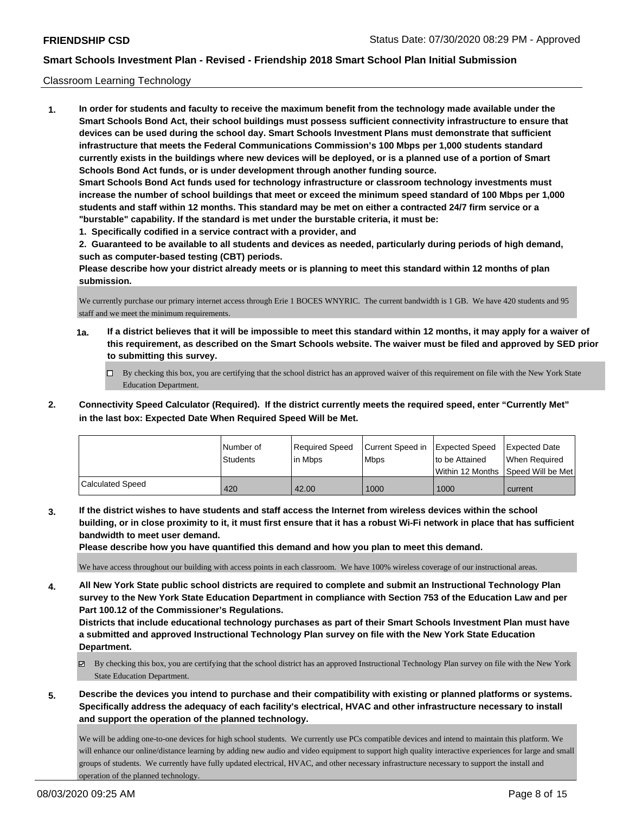### Classroom Learning Technology

**1. In order for students and faculty to receive the maximum benefit from the technology made available under the Smart Schools Bond Act, their school buildings must possess sufficient connectivity infrastructure to ensure that devices can be used during the school day. Smart Schools Investment Plans must demonstrate that sufficient infrastructure that meets the Federal Communications Commission's 100 Mbps per 1,000 students standard currently exists in the buildings where new devices will be deployed, or is a planned use of a portion of Smart Schools Bond Act funds, or is under development through another funding source. Smart Schools Bond Act funds used for technology infrastructure or classroom technology investments must increase the number of school buildings that meet or exceed the minimum speed standard of 100 Mbps per 1,000 students and staff within 12 months. This standard may be met on either a contracted 24/7 firm service or a "burstable" capability. If the standard is met under the burstable criteria, it must be:**

**1. Specifically codified in a service contract with a provider, and**

**2. Guaranteed to be available to all students and devices as needed, particularly during periods of high demand, such as computer-based testing (CBT) periods.**

**Please describe how your district already meets or is planning to meet this standard within 12 months of plan submission.**

We currently purchase our primary internet access through Erie 1 BOCES WNYRIC. The current bandwidth is 1 GB. We have 420 students and 95 staff and we meet the minimum requirements.

- **1a. If a district believes that it will be impossible to meet this standard within 12 months, it may apply for a waiver of this requirement, as described on the Smart Schools website. The waiver must be filed and approved by SED prior to submitting this survey.**
	- By checking this box, you are certifying that the school district has an approved waiver of this requirement on file with the New York State Education Department.
- **2. Connectivity Speed Calculator (Required). If the district currently meets the required speed, enter "Currently Met" in the last box: Expected Date When Required Speed Will be Met.**

|                  | l Number of<br>Students | Required Speed<br>l in Mbps | Current Speed in<br>Mbps | <b>Expected Speed</b><br>to be Attained | <b>Expected Date</b><br>When Required<br>Within 12 Months 1Speed Will be Met1 |
|------------------|-------------------------|-----------------------------|--------------------------|-----------------------------------------|-------------------------------------------------------------------------------|
| Calculated Speed | 420                     | 42.00                       | 1000                     | 1000                                    | current                                                                       |

**3. If the district wishes to have students and staff access the Internet from wireless devices within the school building, or in close proximity to it, it must first ensure that it has a robust Wi-Fi network in place that has sufficient bandwidth to meet user demand.**

**Please describe how you have quantified this demand and how you plan to meet this demand.**

We have access throughout our building with access points in each classroom. We have 100% wireless coverage of our instructional areas.

**4. All New York State public school districts are required to complete and submit an Instructional Technology Plan survey to the New York State Education Department in compliance with Section 753 of the Education Law and per Part 100.12 of the Commissioner's Regulations.**

**Districts that include educational technology purchases as part of their Smart Schools Investment Plan must have a submitted and approved Instructional Technology Plan survey on file with the New York State Education Department.**

- $\boxtimes$  By checking this box, you are certifying that the school district has an approved Instructional Technology Plan survey on file with the New York State Education Department.
- **5. Describe the devices you intend to purchase and their compatibility with existing or planned platforms or systems. Specifically address the adequacy of each facility's electrical, HVAC and other infrastructure necessary to install and support the operation of the planned technology.**

We will be adding one-to-one devices for high school students. We currently use PCs compatible devices and intend to maintain this platform. We will enhance our online/distance learning by adding new audio and video equipment to support high quality interactive experiences for large and small groups of students. We currently have fully updated electrical, HVAC, and other necessary infrastructure necessary to support the install and operation of the planned technology.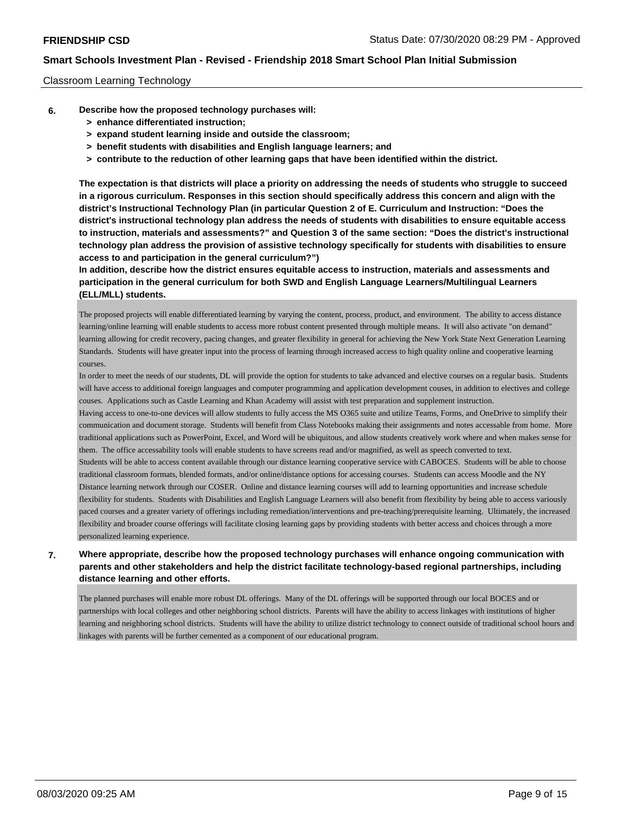#### Classroom Learning Technology

- **6. Describe how the proposed technology purchases will:**
	- **> enhance differentiated instruction;**
	- **> expand student learning inside and outside the classroom;**
	- **> benefit students with disabilities and English language learners; and**
	- **> contribute to the reduction of other learning gaps that have been identified within the district.**

**The expectation is that districts will place a priority on addressing the needs of students who struggle to succeed in a rigorous curriculum. Responses in this section should specifically address this concern and align with the district's Instructional Technology Plan (in particular Question 2 of E. Curriculum and Instruction: "Does the district's instructional technology plan address the needs of students with disabilities to ensure equitable access to instruction, materials and assessments?" and Question 3 of the same section: "Does the district's instructional technology plan address the provision of assistive technology specifically for students with disabilities to ensure access to and participation in the general curriculum?")**

**In addition, describe how the district ensures equitable access to instruction, materials and assessments and participation in the general curriculum for both SWD and English Language Learners/Multilingual Learners (ELL/MLL) students.**

The proposed projects will enable differentiated learning by varying the content, process, product, and environment. The ability to access distance learning/online learning will enable students to access more robust content presented through multiple means. It will also activate "on demand" learning allowing for credit recovery, pacing changes, and greater flexibility in general for achieving the New York State Next Generation Learning Standards. Students will have greater input into the process of learning through increased access to high quality online and cooperative learning courses.

In order to meet the needs of our students, DL will provide the option for students to take advanced and elective courses on a regular basis. Students will have access to additional foreign languages and computer programming and application development couses, in addition to electives and college couses. Applications such as Castle Learning and Khan Academy will assist with test preparation and supplement instruction.

Having access to one-to-one devices will allow students to fully access the MS O365 suite and utilize Teams, Forms, and OneDrive to simplify their communication and document storage. Students will benefit from Class Notebooks making their assignments and notes accessable from home. More traditional applications such as PowerPoint, Excel, and Word will be ubiquitous, and allow students creatively work where and when makes sense for them. The office accessability tools will enable students to have screens read and/or magnified, as well as speech converted to text.

Students will be able to access content available through our distance learning cooperative service with CABOCES. Students will be able to choose traditional classroom formats, blended formats, and/or online/distance options for accessing courses. Students can access Moodle and the NY Distance learning network through our COSER. Online and distance learning courses will add to learning opportunities and increase schedule flexibility for students. Students with Disabilities and English Language Learners will also benefit from flexibility by being able to access variously paced courses and a greater variety of offerings including remediation/interventions and pre-teaching/prerequisite learning. Ultimately, the increased flexibility and broader course offerings will facilitate closing learning gaps by providing students with better access and choices through a more personalized learning experience.

### **7. Where appropriate, describe how the proposed technology purchases will enhance ongoing communication with parents and other stakeholders and help the district facilitate technology-based regional partnerships, including distance learning and other efforts.**

The planned purchases will enable more robust DL offerings. Many of the DL offerings will be supported through our local BOCES and or partnerships with local colleges and other neighboring school districts. Parents will have the ability to access linkages with institutions of higher learning and neighboring school districts. Students will have the ability to utilize district technology to connect outside of traditional school hours and linkages with parents will be further cemented as a component of our educational program.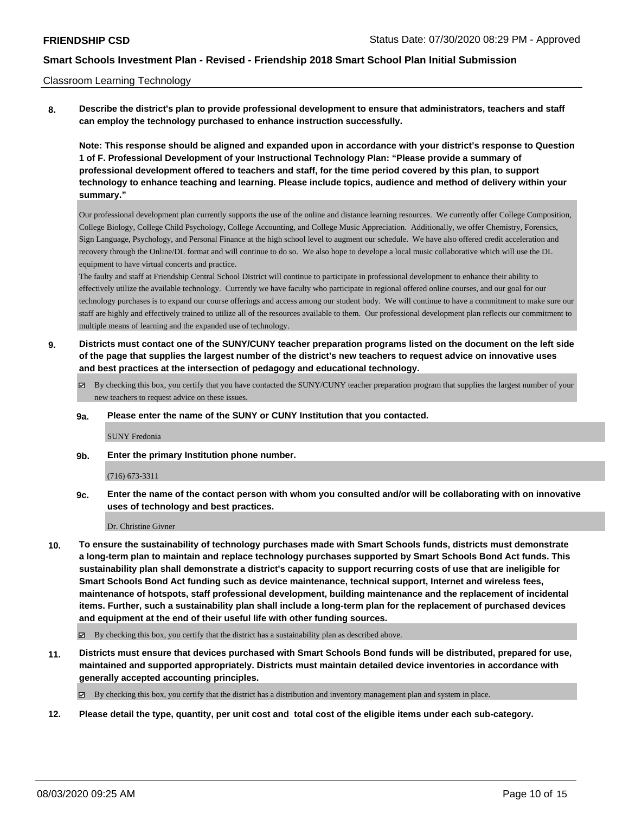#### Classroom Learning Technology

**8. Describe the district's plan to provide professional development to ensure that administrators, teachers and staff can employ the technology purchased to enhance instruction successfully.**

**Note: This response should be aligned and expanded upon in accordance with your district's response to Question 1 of F. Professional Development of your Instructional Technology Plan: "Please provide a summary of professional development offered to teachers and staff, for the time period covered by this plan, to support technology to enhance teaching and learning. Please include topics, audience and method of delivery within your summary."**

Our professional development plan currently supports the use of the online and distance learning resources. We currently offer College Composition, College Biology, College Child Psychology, College Accounting, and College Music Appreciation. Additionally, we offer Chemistry, Forensics, Sign Language, Psychology, and Personal Finance at the high school level to augment our schedule. We have also offered credit acceleration and recovery through the Online/DL format and will continue to do so. We also hope to develope a local music collaborative which will use the DL equipment to have virtual concerts and practice.

The faulty and staff at Friendship Central School District will continue to participate in professional development to enhance their ability to effectively utilize the available technology. Currently we have faculty who participate in regional offered online courses, and our goal for our technology purchases is to expand our course offerings and access among our student body. We will continue to have a commitment to make sure our staff are highly and effectively trained to utilize all of the resources available to them. Our professional development plan reflects our commitment to multiple means of learning and the expanded use of technology.

**9. Districts must contact one of the SUNY/CUNY teacher preparation programs listed on the document on the left side of the page that supplies the largest number of the district's new teachers to request advice on innovative uses and best practices at the intersection of pedagogy and educational technology.**

By checking this box, you certify that you have contacted the SUNY/CUNY teacher preparation program that supplies the largest number of your new teachers to request advice on these issues.

#### **9a. Please enter the name of the SUNY or CUNY Institution that you contacted.**

#### SUNY Fredonia

**9b. Enter the primary Institution phone number.**

#### (716) 673-3311

**9c. Enter the name of the contact person with whom you consulted and/or will be collaborating with on innovative uses of technology and best practices.**

#### Dr. Christine Givner

**10. To ensure the sustainability of technology purchases made with Smart Schools funds, districts must demonstrate a long-term plan to maintain and replace technology purchases supported by Smart Schools Bond Act funds. This sustainability plan shall demonstrate a district's capacity to support recurring costs of use that are ineligible for Smart Schools Bond Act funding such as device maintenance, technical support, Internet and wireless fees, maintenance of hotspots, staff professional development, building maintenance and the replacement of incidental items. Further, such a sustainability plan shall include a long-term plan for the replacement of purchased devices and equipment at the end of their useful life with other funding sources.**

 $\boxtimes$  By checking this box, you certify that the district has a sustainability plan as described above.

**11. Districts must ensure that devices purchased with Smart Schools Bond funds will be distributed, prepared for use, maintained and supported appropriately. Districts must maintain detailed device inventories in accordance with generally accepted accounting principles.**

By checking this box, you certify that the district has a distribution and inventory management plan and system in place.

**12. Please detail the type, quantity, per unit cost and total cost of the eligible items under each sub-category.**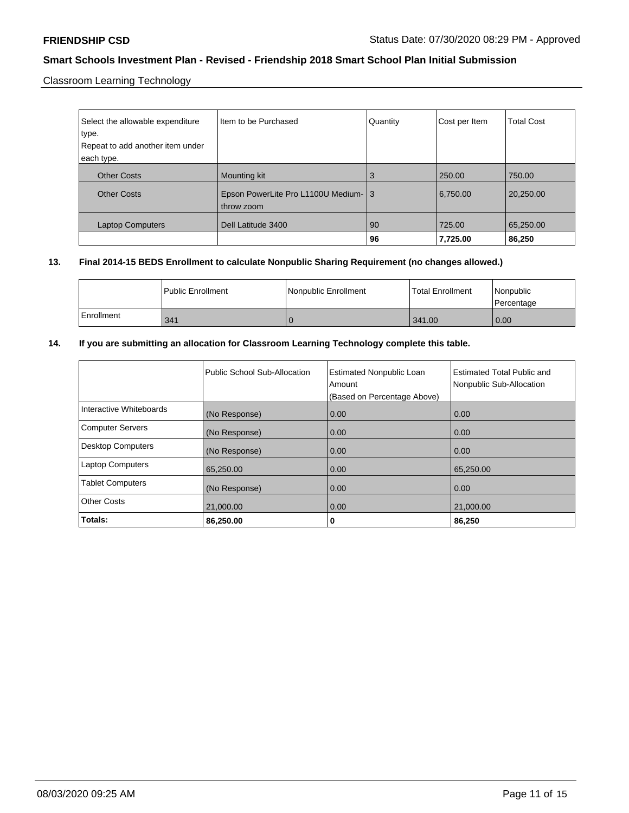Classroom Learning Technology

| Select the allowable expenditure<br>type.<br>Repeat to add another item under | Item to be Purchased                               | Quantity | Cost per Item | <b>Total Cost</b> |
|-------------------------------------------------------------------------------|----------------------------------------------------|----------|---------------|-------------------|
| each type.                                                                    |                                                    |          |               |                   |
| <b>Other Costs</b>                                                            | Mounting kit                                       | 3        | 250.00        | 750.00            |
| <b>Other Costs</b>                                                            | Epson PowerLite Pro L1100U Medium- 3<br>throw zoom |          | 6,750.00      | 20,250.00         |
| <b>Laptop Computers</b>                                                       | Dell Latitude 3400                                 | 90       | 725.00        | 65,250.00         |
|                                                                               |                                                    | 96       | 7,725.00      | 86,250            |

### **13. Final 2014-15 BEDS Enrollment to calculate Nonpublic Sharing Requirement (no changes allowed.)**

|            | l Public Enrollment | Nonpublic Enrollment | <b>Total Enrollment</b> | Nonpublic<br>Percentage |
|------------|---------------------|----------------------|-------------------------|-------------------------|
| Enrollment | 341                 |                      | 1341.00                 | 0.00                    |

### **14. If you are submitting an allocation for Classroom Learning Technology complete this table.**

|                          | Public School Sub-Allocation | <b>Estimated Nonpublic Loan</b><br>Amount<br>(Based on Percentage Above) | Estimated Total Public and<br>Nonpublic Sub-Allocation |
|--------------------------|------------------------------|--------------------------------------------------------------------------|--------------------------------------------------------|
| Interactive Whiteboards  | (No Response)                | 0.00                                                                     | 0.00                                                   |
| <b>Computer Servers</b>  | (No Response)                | 0.00                                                                     | 0.00                                                   |
| <b>Desktop Computers</b> | (No Response)                | 0.00                                                                     | 0.00                                                   |
| <b>Laptop Computers</b>  | 65,250.00                    | 0.00                                                                     | 65,250.00                                              |
| <b>Tablet Computers</b>  | (No Response)                | 0.00                                                                     | 0.00                                                   |
| <b>Other Costs</b>       | 21,000.00                    | 0.00                                                                     | 21,000.00                                              |
| Totals:                  | 86,250.00                    | 0                                                                        | 86,250                                                 |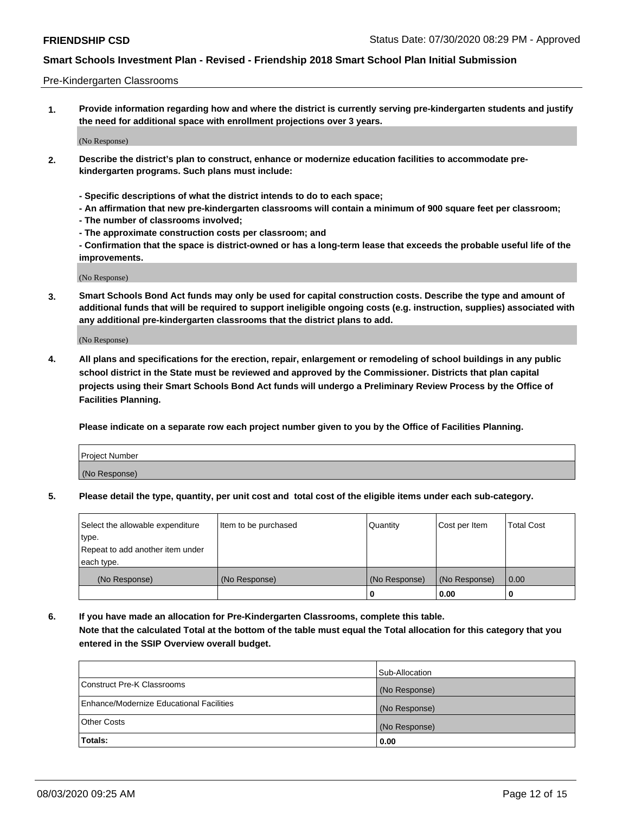#### Pre-Kindergarten Classrooms

**1. Provide information regarding how and where the district is currently serving pre-kindergarten students and justify the need for additional space with enrollment projections over 3 years.**

(No Response)

- **2. Describe the district's plan to construct, enhance or modernize education facilities to accommodate prekindergarten programs. Such plans must include:**
	- **Specific descriptions of what the district intends to do to each space;**
	- **An affirmation that new pre-kindergarten classrooms will contain a minimum of 900 square feet per classroom;**
	- **The number of classrooms involved;**
	- **The approximate construction costs per classroom; and**
	- **Confirmation that the space is district-owned or has a long-term lease that exceeds the probable useful life of the improvements.**

(No Response)

**3. Smart Schools Bond Act funds may only be used for capital construction costs. Describe the type and amount of additional funds that will be required to support ineligible ongoing costs (e.g. instruction, supplies) associated with any additional pre-kindergarten classrooms that the district plans to add.**

(No Response)

**4. All plans and specifications for the erection, repair, enlargement or remodeling of school buildings in any public school district in the State must be reviewed and approved by the Commissioner. Districts that plan capital projects using their Smart Schools Bond Act funds will undergo a Preliminary Review Process by the Office of Facilities Planning.**

**Please indicate on a separate row each project number given to you by the Office of Facilities Planning.**

| Project Number |  |
|----------------|--|
| (No Response)  |  |
|                |  |

**5. Please detail the type, quantity, per unit cost and total cost of the eligible items under each sub-category.**

| Select the allowable expenditure | Item to be purchased | Quantity      | Cost per Item | <b>Total Cost</b> |
|----------------------------------|----------------------|---------------|---------------|-------------------|
| type.                            |                      |               |               |                   |
| Repeat to add another item under |                      |               |               |                   |
| each type.                       |                      |               |               |                   |
| (No Response)                    | (No Response)        | (No Response) | (No Response) | 0.00              |
|                                  |                      | U             | 0.00          |                   |

**6. If you have made an allocation for Pre-Kindergarten Classrooms, complete this table. Note that the calculated Total at the bottom of the table must equal the Total allocation for this category that you entered in the SSIP Overview overall budget.**

| Totals:                                  | 0.00           |
|------------------------------------------|----------------|
| <b>Other Costs</b>                       | (No Response)  |
| Enhance/Modernize Educational Facilities | (No Response)  |
| Construct Pre-K Classrooms               | (No Response)  |
|                                          | Sub-Allocation |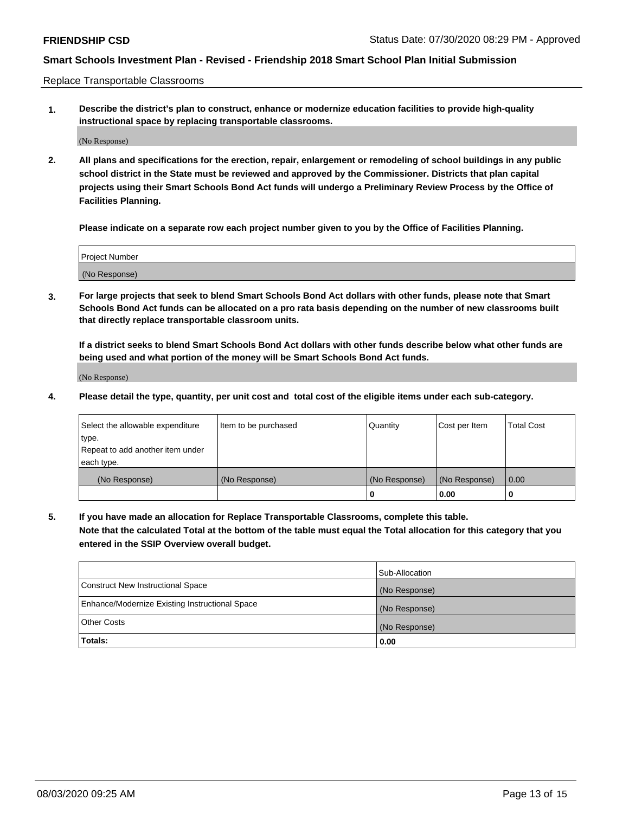Replace Transportable Classrooms

**1. Describe the district's plan to construct, enhance or modernize education facilities to provide high-quality instructional space by replacing transportable classrooms.**

(No Response)

**2. All plans and specifications for the erection, repair, enlargement or remodeling of school buildings in any public school district in the State must be reviewed and approved by the Commissioner. Districts that plan capital projects using their Smart Schools Bond Act funds will undergo a Preliminary Review Process by the Office of Facilities Planning.**

**Please indicate on a separate row each project number given to you by the Office of Facilities Planning.**

| Project Number |  |
|----------------|--|
|                |  |
|                |  |
|                |  |
| (No Response)  |  |
|                |  |
|                |  |

**3. For large projects that seek to blend Smart Schools Bond Act dollars with other funds, please note that Smart Schools Bond Act funds can be allocated on a pro rata basis depending on the number of new classrooms built that directly replace transportable classroom units.**

**If a district seeks to blend Smart Schools Bond Act dollars with other funds describe below what other funds are being used and what portion of the money will be Smart Schools Bond Act funds.**

(No Response)

**4. Please detail the type, quantity, per unit cost and total cost of the eligible items under each sub-category.**

| Select the allowable expenditure | Item to be purchased | Quantity      | Cost per Item | Total Cost |
|----------------------------------|----------------------|---------------|---------------|------------|
| ∣type.                           |                      |               |               |            |
| Repeat to add another item under |                      |               |               |            |
| each type.                       |                      |               |               |            |
| (No Response)                    | (No Response)        | (No Response) | (No Response) | 0.00       |
|                                  |                      | u             | 0.00          |            |

**5. If you have made an allocation for Replace Transportable Classrooms, complete this table. Note that the calculated Total at the bottom of the table must equal the Total allocation for this category that you entered in the SSIP Overview overall budget.**

|                                                | Sub-Allocation |
|------------------------------------------------|----------------|
| Construct New Instructional Space              | (No Response)  |
| Enhance/Modernize Existing Instructional Space | (No Response)  |
| <b>Other Costs</b>                             | (No Response)  |
| Totals:                                        | 0.00           |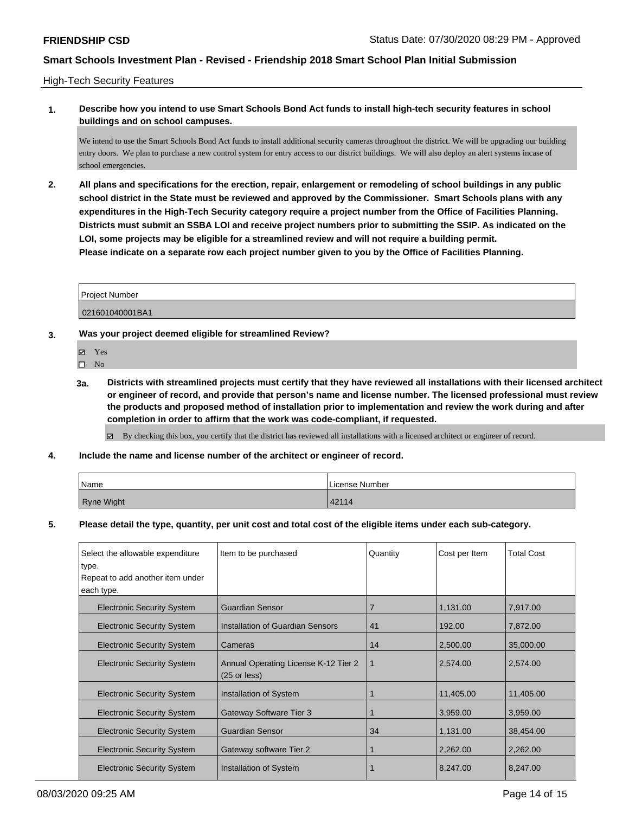### High-Tech Security Features

### **1. Describe how you intend to use Smart Schools Bond Act funds to install high-tech security features in school buildings and on school campuses.**

We intend to use the Smart Schools Bond Act funds to install additional security cameras throughout the district. We will be upgrading our building entry doors. We plan to purchase a new control system for entry access to our district buildings. We will also deploy an alert systems incase of school emergencies.

**2. All plans and specifications for the erection, repair, enlargement or remodeling of school buildings in any public school district in the State must be reviewed and approved by the Commissioner. Smart Schools plans with any expenditures in the High-Tech Security category require a project number from the Office of Facilities Planning. Districts must submit an SSBA LOI and receive project numbers prior to submitting the SSIP. As indicated on the LOI, some projects may be eligible for a streamlined review and will not require a building permit. Please indicate on a separate row each project number given to you by the Office of Facilities Planning.**

| <b>Project Number</b> |  |
|-----------------------|--|
| 021601040001BA1       |  |

### **3. Was your project deemed eligible for streamlined Review?**

- Yes
- $\square$  No
- **3a. Districts with streamlined projects must certify that they have reviewed all installations with their licensed architect or engineer of record, and provide that person's name and license number. The licensed professional must review the products and proposed method of installation prior to implementation and review the work during and after completion in order to affirm that the work was code-compliant, if requested.**
	- By checking this box, you certify that the district has reviewed all installations with a licensed architect or engineer of record.
- **4. Include the name and license number of the architect or engineer of record.**

| Name       | l License Number |
|------------|------------------|
| Ryne Wight | 42114            |

### **5. Please detail the type, quantity, per unit cost and total cost of the eligible items under each sub-category.**

| Select the allowable expenditure  | Item to be purchased                                           | Quantity | Cost per Item | <b>Total Cost</b> |
|-----------------------------------|----------------------------------------------------------------|----------|---------------|-------------------|
| ∣type.                            |                                                                |          |               |                   |
| Repeat to add another item under  |                                                                |          |               |                   |
| each type.                        |                                                                |          |               |                   |
| <b>Electronic Security System</b> | <b>Guardian Sensor</b>                                         |          | 1,131.00      | 7,917.00          |
| <b>Electronic Security System</b> | Installation of Guardian Sensors                               | 41       | 192.00        | 7,872.00          |
| <b>Electronic Security System</b> | Cameras                                                        | 14       | 2,500.00      | 35,000.00         |
| <b>Electronic Security System</b> | Annual Operating License K-12 Tier 2<br>$(25 \text{ or less})$ | 1        | 2,574.00      | 2,574.00          |
| <b>Electronic Security System</b> | <b>Installation of System</b>                                  |          | 11,405.00     | 11,405.00         |
| <b>Electronic Security System</b> | <b>Gateway Software Tier 3</b>                                 |          | 3,959.00      | 3,959.00          |
| <b>Electronic Security System</b> | <b>Guardian Sensor</b>                                         | 34       | 1,131.00      | 38,454.00         |
| <b>Electronic Security System</b> | Gateway software Tier 2                                        |          | 2,262.00      | 2,262.00          |
| <b>Electronic Security System</b> | Installation of System                                         |          | 8,247.00      | 8,247.00          |